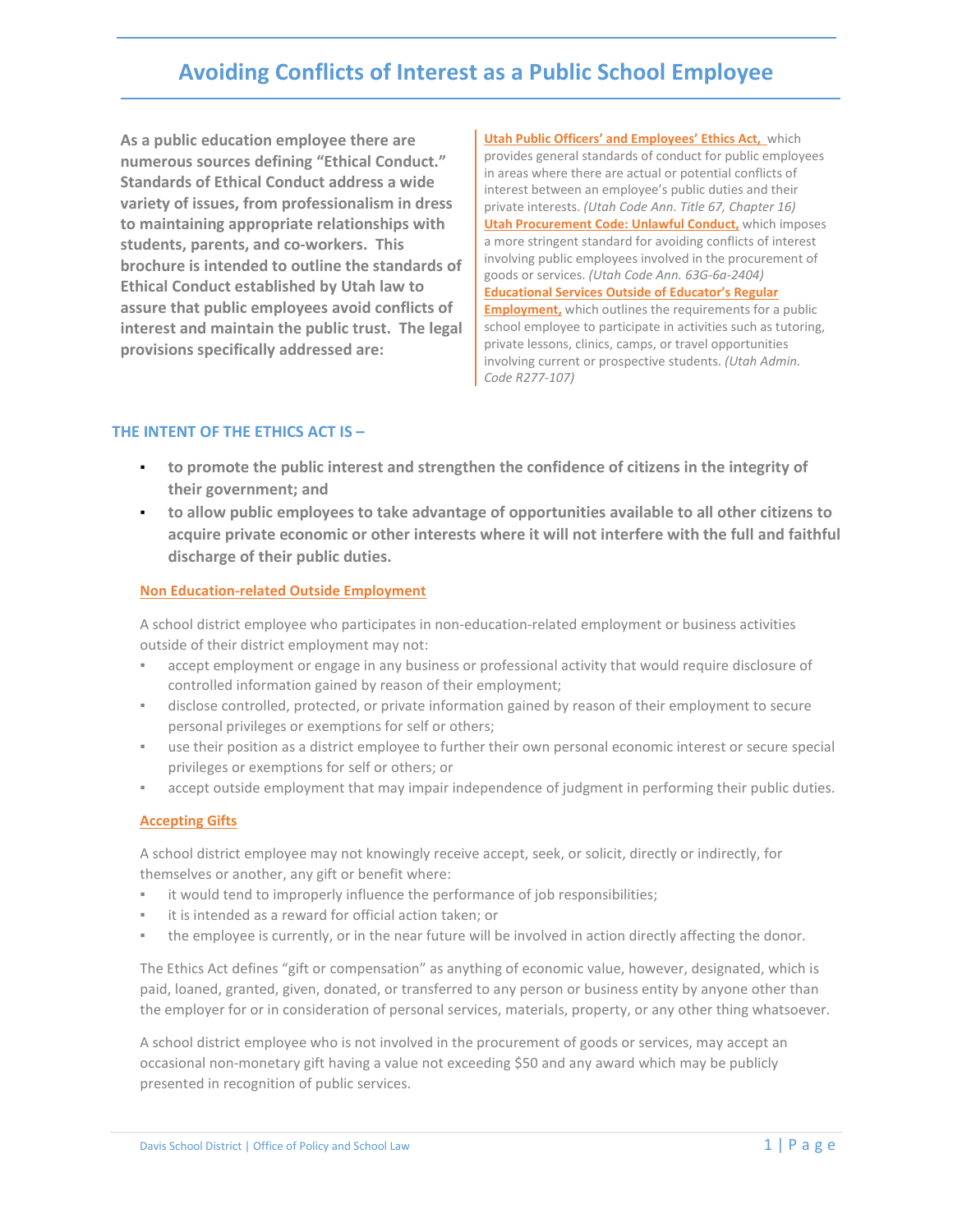# **Avoiding Conflicts of Interest as a Public School Employee**

**As a public education employee there are numerous sources defining "Ethical Conduct." Standards of Ethical Conduct address a wide variety of issues, from professionalism in dress to maintaining appropriate relationships with students, parents, and co-workers. This brochure is intended to outline the standards of Ethical Conduct established by Utah law to assure that public employees avoid conflicts of interest and maintain the public trust. The legal provisions specifically addressed are:**

**Utah Public Officers' and Employees' Ethics Act,** which provides general standards of conduct for public employees in areas where there are actual or potential conflicts of interest between an employee's public duties and their private interests. *(Utah Code Ann. Title 67, Chapter 16)* **Utah Procurement Code: Unlawful Conduct,** which imposes a more stringent standard for avoiding conflicts of interest involving public employees involved in the procurement of goods or services. *(Utah Code Ann. 63G-6a-2404)* **Educational Services Outside of Educator's Regular Employment,** which outlines the requirements for a public school employee to participate in activities such as tutoring, private lessons, clinics, camps, or travel opportunities involving current or prospective students. *(Utah Admin. Code R277-107)*

## **THE INTENT OF THE ETHICS ACT IS –**

- to promote the public interest and strengthen the confidence of citizens in the integrity of **their government; and**
- **to allow public employees to take advantage of opportunities available to all other citizens to acquire private economic or other interests where it will not interfere with the full and faithful discharge of their public duties.**

#### **Non Education-related Outside Employment**

A school district employee who participates in non-education-related employment or business activities outside of their district employment may not:

- accept employment or engage in any business or professional activity that would require disclosure of controlled information gained by reason of their employment;
- disclose controlled, protected, or private information gained by reason of their employment to secure personal privileges or exemptions for self or others;
- use their position as a district employee to further their own personal economic interest or secure special privileges or exemptions for self or others; or
- accept outside employment that may impair independence of judgment in performing their public duties.

#### **Accepting Gifts**

A school district employee may not knowingly receive accept, seek, or solicit, directly or indirectly, for themselves or another, any gift or benefit where:

- it would tend to improperly influence the performance of job responsibilities;
- it is intended as a reward for official action taken; or
- the employee is currently, or in the near future will be involved in action directly affecting the donor.

The Ethics Act defines "gift or compensation" as anything of economic value, however, designated, which is paid, loaned, granted, given, donated, or transferred to any person or business entity by anyone other than the employer for or in consideration of personal services, materials, property, or any other thing whatsoever.

A school district employee who is not involved in the procurement of goods or services, may accept an occasional non-monetary gift having a value not exceeding \$50 and any award which may be publicly presented in recognition of public services.